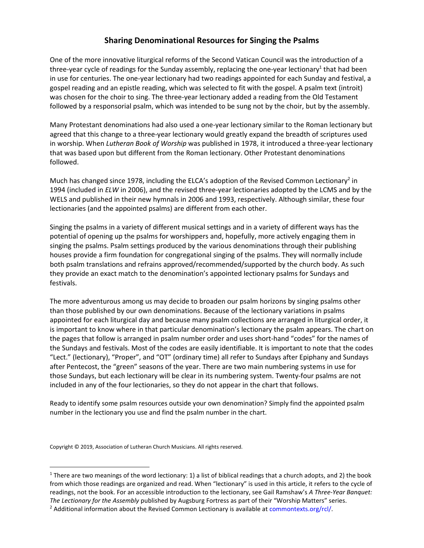## Sharing Denominational Resources for Singing the Psalms

One of the more innovative liturgical reforms of the Second Vatican Council was the introduction of a three-year cycle of readings for the Sunday assembly, replacing the one-year lectionary<sup>1</sup> that had been in use for centuries. The one-year lectionary had two readings appointed for each Sunday and festival, a gospel reading and an epistle reading, which was selected to fit with the gospel. A psalm text (introit) was chosen for the choir to sing. The three-year lectionary added a reading from the Old Testament followed by a responsorial psalm, which was intended to be sung not by the choir, but by the assembly.

Many Protestant denominations had also used a one-year lectionary similar to the Roman lectionary but agreed that this change to a three-year lectionary would greatly expand the breadth of scriptures used in worship. When Lutheran Book of Worship was published in 1978, it introduced a three-year lectionary that was based upon but different from the Roman lectionary. Other Protestant denominations followed.

Much has changed since 1978, including the ELCA's adoption of the Revised Common Lectionary<sup>2</sup> in 1994 (included in ELW in 2006), and the revised three-year lectionaries adopted by the LCMS and by the WELS and published in their new hymnals in 2006 and 1993, respectively. Although similar, these four lectionaries (and the appointed psalms) are different from each other.

Singing the psalms in a variety of different musical settings and in a variety of different ways has the potential of opening up the psalms for worshippers and, hopefully, more actively engaging them in singing the psalms. Psalm settings produced by the various denominations through their publishing houses provide a firm foundation for congregational singing of the psalms. They will normally include both psalm translations and refrains approved/recommended/supported by the church body. As such they provide an exact match to the denomination's appointed lectionary psalms for Sundays and festivals.

The more adventurous among us may decide to broaden our psalm horizons by singing psalms other than those published by our own denominations. Because of the lectionary variations in psalms appointed for each liturgical day and because many psalm collections are arranged in liturgical order, it is important to know where in that particular denomination's lectionary the psalm appears. The chart on the pages that follow is arranged in psalm number order and uses short-hand "codes" for the names of the Sundays and festivals. Most of the codes are easily identifiable. It is important to note that the codes "Lect." (lectionary), "Proper", and "OT" (ordinary time) all refer to Sundays after Epiphany and Sundays after Pentecost, the "green" seasons of the year. There are two main numbering systems in use for those Sundays, but each lectionary will be clear in its numbering system. Twenty-four psalms are not included in any of the four lectionaries, so they do not appear in the chart that follows.

Ready to identify some psalm resources outside your own denomination? Simply find the appointed psalm number in the lectionary you use and find the psalm number in the chart.

Copyright © 2019, Association of Lutheran Church Musicians. All rights reserved.

<sup>&</sup>lt;sup>1</sup> There are two meanings of the word lectionary: 1) a list of biblical readings that a church adopts, and 2) the book from which those readings are organized and read. When "lectionary" is used in this article, it refers to the cycle of readings, not the book. For an accessible introduction to the lectionary, see Gail Ramshaw's A Three-Year Banquet: The Lectionary for the Assembly published by Augsburg Fortress as part of their "Worship Matters" series.

<sup>&</sup>lt;sup>2</sup> Additional information about the Revised Common Lectionary is available at commontexts.org/rcl/.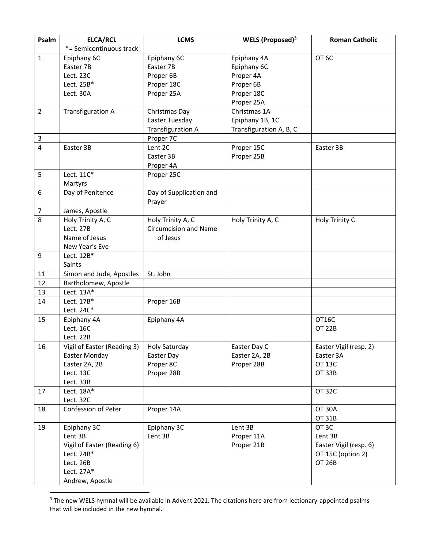| Psalm          | <b>ELCA/RCL</b>                                          | <b>LCMS</b>                  | WELS (Proposed) <sup>3</sup> | <b>Roman Catholic</b>              |
|----------------|----------------------------------------------------------|------------------------------|------------------------------|------------------------------------|
|                | *= Semicontinuous track                                  |                              |                              |                                    |
| $\mathbf 1$    | Epiphany 6C                                              | Epiphany 6C                  | Epiphany 4A                  | OT <sub>6</sub> C                  |
|                | Easter 7B                                                | Easter 7B                    | Epiphany 6C                  |                                    |
|                | Lect. 23C                                                | Proper 6B                    | Proper 4A                    |                                    |
|                | Lect. 25B*                                               | Proper 18C                   | Proper 6B                    |                                    |
|                | Lect. 30A                                                | Proper 25A                   | Proper 18C                   |                                    |
|                |                                                          |                              | Proper 25A                   |                                    |
| $\overline{2}$ | <b>Transfiguration A</b>                                 | Christmas Day                | Christmas 1A                 |                                    |
|                |                                                          | Easter Tuesday               | Epiphany 1B, 1C              |                                    |
|                |                                                          | <b>Transfiguration A</b>     | Transfiguration A, B, C      |                                    |
| $\mathbf{3}$   |                                                          | Proper 7C                    |                              |                                    |
| 4              | Easter 3B                                                | Lent 2C                      | Proper 15C                   | Easter 3B                          |
|                |                                                          | Easter 3B                    | Proper 25B                   |                                    |
|                |                                                          | Proper 4A                    |                              |                                    |
| 5              | Lect. 11C*                                               | Proper 25C                   |                              |                                    |
|                | Martyrs                                                  |                              |                              |                                    |
| 6              | Day of Penitence                                         | Day of Supplication and      |                              |                                    |
|                |                                                          | Prayer                       |                              |                                    |
| $\overline{7}$ | James, Apostle                                           |                              |                              |                                    |
| 8              | Holy Trinity A, C                                        | Holy Trinity A, C            | Holy Trinity A, C            | Holy Trinity C                     |
|                | Lect. 27B                                                | <b>Circumcision and Name</b> |                              |                                    |
|                | Name of Jesus                                            | of Jesus                     |                              |                                    |
|                | New Year's Eve                                           |                              |                              |                                    |
| 9              | Lect. 12B*                                               |                              |                              |                                    |
|                | Saints                                                   |                              |                              |                                    |
| 11             | Simon and Jude, Apostles                                 | St. John                     |                              |                                    |
| 12             | Bartholomew, Apostle                                     |                              |                              |                                    |
| 13             | Lect. 13A*                                               |                              |                              |                                    |
| 14             | Lect. 17B*                                               | Proper 16B                   |                              |                                    |
|                | Lect. 24C*                                               |                              |                              |                                    |
| 15             | Epiphany 4A                                              | Epiphany 4A                  |                              | OT16C                              |
|                | Lect. 16C                                                |                              |                              | <b>OT 22B</b>                      |
|                | Lect. 22B                                                |                              |                              |                                    |
| 16             | Vigil of Easter (Reading 3)                              | Holy Saturday                | Easter Day C                 | Easter Vigil (resp. 2)             |
|                | Easter Monday                                            | Easter Day                   | Easter 2A, 2B                | Easter 3A                          |
|                | Easter 2A, 2B                                            | Proper 8C                    | Proper 28B                   | <b>OT 13C</b>                      |
|                | Lect. 13C                                                | Proper 28B                   |                              | <b>OT 33B</b>                      |
|                | Lect. 33B                                                |                              |                              |                                    |
| 17             | Lect. 18A*                                               |                              |                              | <b>OT 32C</b>                      |
|                | Lect. 32C                                                |                              |                              |                                    |
| 18             | Confession of Peter                                      | Proper 14A                   |                              | <b>OT 30A</b>                      |
|                |                                                          |                              |                              | OT 31B                             |
| 19             | Epiphany 3C                                              | Epiphany 3C                  | Lent 3B                      | OT 3C                              |
|                | Lent 3B                                                  | Lent 3B                      | Proper 11A                   | Lent 3B                            |
|                | Vigil of Easter (Reading 6)                              |                              | Proper 21B                   | Easter Vigil (resp. 6)             |
|                |                                                          |                              |                              |                                    |
|                |                                                          |                              |                              |                                    |
|                |                                                          |                              |                              |                                    |
|                |                                                          |                              |                              |                                    |
|                | Lect. 24B*<br>Lect. 26B<br>Lect. 27A*<br>Andrew, Apostle |                              |                              | OT 15C (option 2)<br><b>OT 26B</b> |

<sup>&</sup>lt;sup>3</sup> The new WELS hymnal will be available in Advent 2021. The citations here are from lectionary-appointed psalms that will be included in the new hymnal.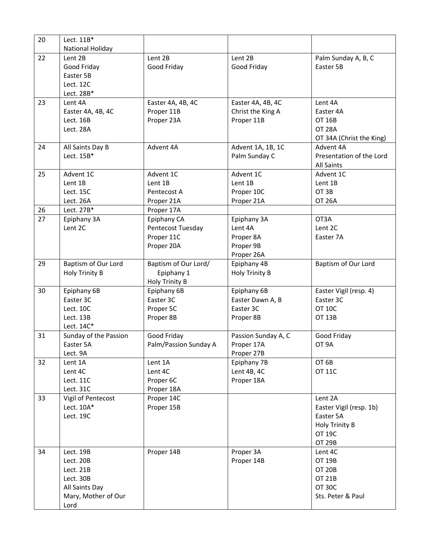| National Holiday<br>22<br>Lent 2B<br>Lent 2B<br>Lent 2B<br>Palm Sunday A, B, C<br>Good Friday<br>Good Friday<br>Good Friday<br>Easter 5B<br>Easter 5B<br>Lect. 12C<br>Lect. 28B*<br>23<br>Lent 4A<br>Easter 4A, 4B, 4C<br>Easter 4A, 4B, 4C<br>Lent 4A<br>Proper 11B<br>Easter 4A, 4B, 4C<br>Christ the King A<br>Easter 4A<br>Proper 23A<br>Proper 11B<br>Lect. 16B<br>OT 16B<br>Lect. 28A<br><b>OT 28A</b><br>Advent 4A<br>Advent 4A<br>Advent 1A, 1B, 1C<br>All Saints Day B<br>24<br>Lect. 15B*<br>Palm Sunday C |  |  |                          |
|----------------------------------------------------------------------------------------------------------------------------------------------------------------------------------------------------------------------------------------------------------------------------------------------------------------------------------------------------------------------------------------------------------------------------------------------------------------------------------------------------------------------|--|--|--------------------------|
|                                                                                                                                                                                                                                                                                                                                                                                                                                                                                                                      |  |  |                          |
|                                                                                                                                                                                                                                                                                                                                                                                                                                                                                                                      |  |  |                          |
|                                                                                                                                                                                                                                                                                                                                                                                                                                                                                                                      |  |  |                          |
|                                                                                                                                                                                                                                                                                                                                                                                                                                                                                                                      |  |  |                          |
|                                                                                                                                                                                                                                                                                                                                                                                                                                                                                                                      |  |  |                          |
|                                                                                                                                                                                                                                                                                                                                                                                                                                                                                                                      |  |  |                          |
|                                                                                                                                                                                                                                                                                                                                                                                                                                                                                                                      |  |  |                          |
|                                                                                                                                                                                                                                                                                                                                                                                                                                                                                                                      |  |  |                          |
|                                                                                                                                                                                                                                                                                                                                                                                                                                                                                                                      |  |  |                          |
|                                                                                                                                                                                                                                                                                                                                                                                                                                                                                                                      |  |  | OT 34A (Christ the King) |
|                                                                                                                                                                                                                                                                                                                                                                                                                                                                                                                      |  |  |                          |
|                                                                                                                                                                                                                                                                                                                                                                                                                                                                                                                      |  |  | Presentation of the Lord |
|                                                                                                                                                                                                                                                                                                                                                                                                                                                                                                                      |  |  | <b>All Saints</b>        |
| 25<br>Advent 1C<br>Advent 1C<br>Advent 1C<br>Advent 1C                                                                                                                                                                                                                                                                                                                                                                                                                                                               |  |  |                          |
| Lent 1B<br>Lent 1B<br>Lent 1B<br>Lent 1B                                                                                                                                                                                                                                                                                                                                                                                                                                                                             |  |  |                          |
| OT 3B<br>Lect. 15C<br>Pentecost A<br>Proper 10C                                                                                                                                                                                                                                                                                                                                                                                                                                                                      |  |  |                          |
| Proper 21A<br>Lect. 26A<br>Proper 21A<br><b>OT 26A</b>                                                                                                                                                                                                                                                                                                                                                                                                                                                               |  |  |                          |
| Lect. 27B*<br>Proper 17A<br>26                                                                                                                                                                                                                                                                                                                                                                                                                                                                                       |  |  |                          |
| 27<br>Epiphany CA<br>OT3A<br>Epiphany 3A<br>Epiphany 3A                                                                                                                                                                                                                                                                                                                                                                                                                                                              |  |  |                          |
| Lent 2C<br>Pentecost Tuesday<br>Lent 4A<br>Lent 2C                                                                                                                                                                                                                                                                                                                                                                                                                                                                   |  |  |                          |
| Proper 11C<br>Proper 8A<br>Easter 7A                                                                                                                                                                                                                                                                                                                                                                                                                                                                                 |  |  |                          |
| Proper 20A<br>Proper 9B                                                                                                                                                                                                                                                                                                                                                                                                                                                                                              |  |  |                          |
| Proper 26A                                                                                                                                                                                                                                                                                                                                                                                                                                                                                                           |  |  |                          |
| Baptism of Our Lord<br>Baptism of Our Lord/<br>Epiphany 4B<br>Baptism of Our Lord<br>29                                                                                                                                                                                                                                                                                                                                                                                                                              |  |  |                          |
| Epiphany 1<br>Holy Trinity B<br>Holy Trinity B                                                                                                                                                                                                                                                                                                                                                                                                                                                                       |  |  |                          |
| Holy Trinity B                                                                                                                                                                                                                                                                                                                                                                                                                                                                                                       |  |  |                          |
| Epiphany 6B<br>Epiphany 6B<br>Epiphany 6B<br>Easter Vigil (resp. 4)<br>30                                                                                                                                                                                                                                                                                                                                                                                                                                            |  |  |                          |
| Easter 3C<br>Easter 3C<br>Easter Dawn A, B<br>Easter 3C                                                                                                                                                                                                                                                                                                                                                                                                                                                              |  |  |                          |
| Proper 5C<br>Easter 3C<br>Lect. 10C<br><b>OT 10C</b>                                                                                                                                                                                                                                                                                                                                                                                                                                                                 |  |  |                          |
| Proper 8B<br>Lect. 13B<br>Proper 8B<br><b>OT 13B</b>                                                                                                                                                                                                                                                                                                                                                                                                                                                                 |  |  |                          |
| Lect. 14C*                                                                                                                                                                                                                                                                                                                                                                                                                                                                                                           |  |  |                          |
| 31<br>Sunday of the Passion<br>Passion Sunday A, C<br>Good Friday<br>Good Friday                                                                                                                                                                                                                                                                                                                                                                                                                                     |  |  |                          |
| Palm/Passion Sunday A<br>OT 9A<br>Easter 5A<br>Proper 17A                                                                                                                                                                                                                                                                                                                                                                                                                                                            |  |  |                          |
| Proper 27B<br>Lect. 9A                                                                                                                                                                                                                                                                                                                                                                                                                                                                                               |  |  |                          |
| OT <sub>6B</sub><br>32<br>Lent 1A<br>Lent 1A<br>Epiphany 7B                                                                                                                                                                                                                                                                                                                                                                                                                                                          |  |  |                          |
| Lent 4B, 4C<br>Lent 4C<br>Lent 4C<br><b>OT 11C</b>                                                                                                                                                                                                                                                                                                                                                                                                                                                                   |  |  |                          |
| Lect. 11C<br>Proper 6C<br>Proper 18A                                                                                                                                                                                                                                                                                                                                                                                                                                                                                 |  |  |                          |
| Lect. 31C<br>Proper 18A                                                                                                                                                                                                                                                                                                                                                                                                                                                                                              |  |  |                          |
| Vigil of Pentecost<br>Proper 14C<br>33<br>Lent 2A                                                                                                                                                                                                                                                                                                                                                                                                                                                                    |  |  |                          |
| Lect. $10A*$<br>Proper 15B<br>Easter Vigil (resp. 1b)                                                                                                                                                                                                                                                                                                                                                                                                                                                                |  |  |                          |
| Lect. 19C<br>Easter 5A                                                                                                                                                                                                                                                                                                                                                                                                                                                                                               |  |  |                          |
| Holy Trinity B<br><b>OT 19C</b>                                                                                                                                                                                                                                                                                                                                                                                                                                                                                      |  |  |                          |
| <b>OT 29B</b>                                                                                                                                                                                                                                                                                                                                                                                                                                                                                                        |  |  |                          |
|                                                                                                                                                                                                                                                                                                                                                                                                                                                                                                                      |  |  |                          |
| Proper 14B<br>Proper 3A<br>34<br>Lent 4C<br>Lect. 19B<br>Proper 14B<br>Lect. 20B<br><b>OT 19B</b>                                                                                                                                                                                                                                                                                                                                                                                                                    |  |  |                          |
| Lect. 21B<br><b>OT 20B</b>                                                                                                                                                                                                                                                                                                                                                                                                                                                                                           |  |  |                          |
| Lect. 30B<br>OT 21B                                                                                                                                                                                                                                                                                                                                                                                                                                                                                                  |  |  |                          |
| <b>OT 30C</b><br>All Saints Day                                                                                                                                                                                                                                                                                                                                                                                                                                                                                      |  |  |                          |
| Mary, Mother of Our<br>Sts. Peter & Paul                                                                                                                                                                                                                                                                                                                                                                                                                                                                             |  |  |                          |
| Lord                                                                                                                                                                                                                                                                                                                                                                                                                                                                                                                 |  |  |                          |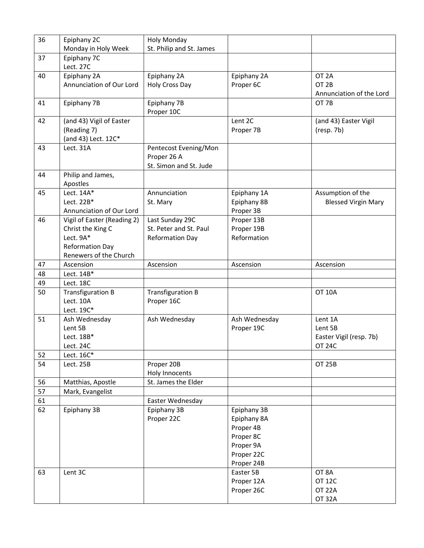| 36 | Epiphany 2C<br>Monday in Holy Week                                                                                | <b>Holy Monday</b><br>St. Philip and St. James                      |                                                                                               |                                                                  |
|----|-------------------------------------------------------------------------------------------------------------------|---------------------------------------------------------------------|-----------------------------------------------------------------------------------------------|------------------------------------------------------------------|
| 37 | Epiphany 7C<br>Lect. 27C                                                                                          |                                                                     |                                                                                               |                                                                  |
| 40 | Epiphany 2A<br>Annunciation of Our Lord                                                                           | Epiphany 2A<br>Holy Cross Day                                       | Epiphany 2A<br>Proper 6C                                                                      | OT <sub>2A</sub><br>OT <sub>2B</sub><br>Annunciation of the Lord |
| 41 | Epiphany 7B                                                                                                       | Epiphany 7B<br>Proper 10C                                           |                                                                                               | OT 7B                                                            |
| 42 | (and 43) Vigil of Easter<br>(Reading 7)<br>(and 43) Lect. 12C*                                                    |                                                                     | Lent 2C<br>Proper 7B                                                                          | (and 43) Easter Vigil<br>(resp. 7b)                              |
| 43 | Lect. 31A                                                                                                         | Pentecost Evening/Mon<br>Proper 26 A<br>St. Simon and St. Jude      |                                                                                               |                                                                  |
| 44 | Philip and James,<br>Apostles                                                                                     |                                                                     |                                                                                               |                                                                  |
| 45 | Lect. $14A*$<br>Lect. 22B*<br>Annunciation of Our Lord                                                            | Annunciation<br>St. Mary                                            | Epiphany 1A<br>Epiphany 8B<br>Proper 3B                                                       | Assumption of the<br><b>Blessed Virgin Mary</b>                  |
| 46 | Vigil of Easter (Reading 2)<br>Christ the King C<br>Lect. 9A*<br><b>Reformation Day</b><br>Renewers of the Church | Last Sunday 29C<br>St. Peter and St. Paul<br><b>Reformation Day</b> | Proper 13B<br>Proper 19B<br>Reformation                                                       |                                                                  |
| 47 | Ascension                                                                                                         | Ascension                                                           | Ascension                                                                                     | Ascension                                                        |
| 48 | Lect. 14B*                                                                                                        |                                                                     |                                                                                               |                                                                  |
| 49 | Lect. 18C                                                                                                         |                                                                     |                                                                                               |                                                                  |
| 50 | <b>Transfiguration B</b><br>Lect. 10A<br>Lect. 19C*                                                               | <b>Transfiguration B</b><br>Proper 16C                              |                                                                                               | <b>OT 10A</b>                                                    |
| 51 | Ash Wednesday<br>Lent 5B<br>Lect. 18B*<br>Lect. 24C                                                               | Ash Wednesday                                                       | Ash Wednesday<br>Proper 19C                                                                   | Lent 1A<br>Lent 5B<br>Easter Vigil (resp. 7b)<br><b>OT 24C</b>   |
| 52 | Lect. 16C*                                                                                                        |                                                                     |                                                                                               |                                                                  |
| 54 | Lect. 25B                                                                                                         | Proper 20B<br>Holy Innocents                                        |                                                                                               | <b>OT 25B</b>                                                    |
| 56 | Matthias, Apostle                                                                                                 | St. James the Elder                                                 |                                                                                               |                                                                  |
| 57 | Mark, Evangelist                                                                                                  |                                                                     |                                                                                               |                                                                  |
| 61 |                                                                                                                   | Easter Wednesday                                                    |                                                                                               |                                                                  |
| 62 | Epiphany 3B                                                                                                       | Epiphany 3B<br>Proper 22C                                           | Epiphany 3B<br>Epiphany 8A<br>Proper 4B<br>Proper 8C<br>Proper 9A<br>Proper 22C<br>Proper 24B |                                                                  |
| 63 | Lent 3C                                                                                                           |                                                                     | Easter 5B<br>Proper 12A<br>Proper 26C                                                         | OT 8A<br><b>OT 12C</b><br><b>OT 22A</b><br><b>OT 32A</b>         |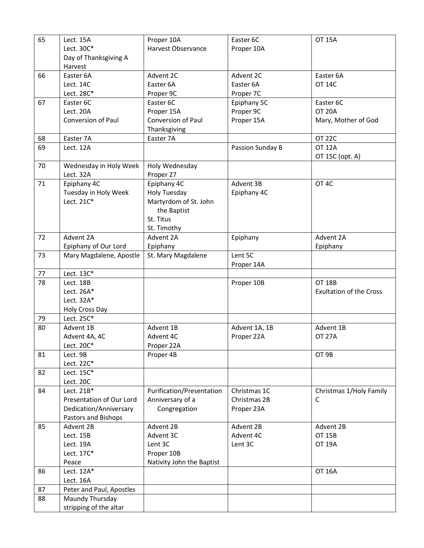| 65 | Lect. 15A                 | Proper 10A                | Easter 6C        | <b>OT 15A</b>                  |
|----|---------------------------|---------------------------|------------------|--------------------------------|
|    | Lect. 30C*                | Harvest Observance        | Proper 10A       |                                |
|    | Day of Thanksgiving A     |                           |                  |                                |
|    | Harvest                   |                           |                  |                                |
| 66 | Easter 6A                 | Advent 2C                 | Advent 2C        | Easter 6A                      |
|    | Lect. 14C                 | Easter 6A                 | Easter 6A        | <b>OT 14C</b>                  |
|    | Lect. 28C*                | Proper 9C                 | Proper 7C        |                                |
| 67 | Easter 6C                 | Easter 6C                 | Epiphany 5C      | Easter 6C                      |
|    | Lect. 20A                 | Proper 15A                | Proper 9C        | <b>OT 20A</b>                  |
|    | <b>Conversion of Paul</b> | Conversion of Paul        | Proper 15A       | Mary, Mother of God            |
|    |                           | Thanksgiving              |                  |                                |
| 68 | Easter 7A                 | Easter 7A                 |                  | <b>OT 22C</b>                  |
| 69 | Lect. 12A                 |                           | Passion Sunday B | <b>OT 12A</b>                  |
|    |                           |                           |                  | OT 15C (opt. A)                |
| 70 | Wednesday in Holy Week    | Holy Wednesday            |                  |                                |
|    | Lect. 32A                 | Proper 27                 |                  |                                |
| 71 | Epiphany 4C               | Epiphany 4C               | Advent 3B        | OT <sub>4C</sub>               |
|    | Tuesday in Holy Week      | <b>Holy Tuesday</b>       | Epiphany 4C      |                                |
|    | Lect. 21C*                | Martyrdom of St. John     |                  |                                |
|    |                           | the Baptist               |                  |                                |
|    |                           | St. Titus                 |                  |                                |
|    |                           | St. Timothy               |                  |                                |
| 72 | Advent 2A                 | Advent 2A                 | Epiphany         | Advent 2A                      |
|    | Epiphany of Our Lord      | Epiphany                  |                  | Epiphany                       |
| 73 | Mary Magdalene, Apostle   | St. Mary Magdalene        | Lent 5C          |                                |
|    |                           |                           | Proper 14A       |                                |
| 77 | Lect. 13C*                |                           |                  |                                |
| 78 | Lect. 18B                 |                           | Proper 10B       | <b>OT 18B</b>                  |
|    | Lect. 26A*                |                           |                  | <b>Exultation of the Cross</b> |
|    | Lect. 32A*                |                           |                  |                                |
|    | Holy Cross Day            |                           |                  |                                |
| 79 | Lect. 25C*                |                           |                  |                                |
| 80 | Advent 1B                 | Advent 1B                 | Advent 1A, 1B    | Advent 1B                      |
|    | Advent 4A, 4C             | Advent 4C                 | Proper 22A       | <b>OT 27A</b>                  |
|    | Lect. 20C*                | Proper 22A                |                  |                                |
| 81 | Lect. 9B                  | Proper 4B                 |                  | OT 9B                          |
|    | Lect. 22C*                |                           |                  |                                |
| 82 | Lect. 15C*                |                           |                  |                                |
|    | Lect. 20C                 |                           |                  |                                |
| 84 | Lect. 21B*                | Purification/Presentation | Christmas 1C     | Christmas 1/Holy Family        |
|    | Presentation of Our Lord  | Anniversary of a          | Christmas 2B     | C                              |
|    | Dedication/Anniversary    | Congregation              | Proper 23A       |                                |
|    | Pastors and Bishops       |                           |                  |                                |
| 85 | Advent 2B                 | Advent 2B                 | Advent 2B        | Advent 2B                      |
|    | Lect. 15B                 | Advent 3C                 | Advent 4C        | <b>OT 15B</b>                  |
|    | Lect. 19A                 | Lent 3C                   | Lent 3C          | <b>OT 19A</b>                  |
|    | Lect. 17C*                | Proper 10B                |                  |                                |
|    | Peace                     | Nativity John the Baptist |                  |                                |
| 86 | Lect. $12A*$              |                           |                  | <b>OT 16A</b>                  |
|    | Lect. 16A                 |                           |                  |                                |
| 87 | Peter and Paul, Apostles  |                           |                  |                                |
| 88 | Maundy Thursday           |                           |                  |                                |
|    | stripping of the altar    |                           |                  |                                |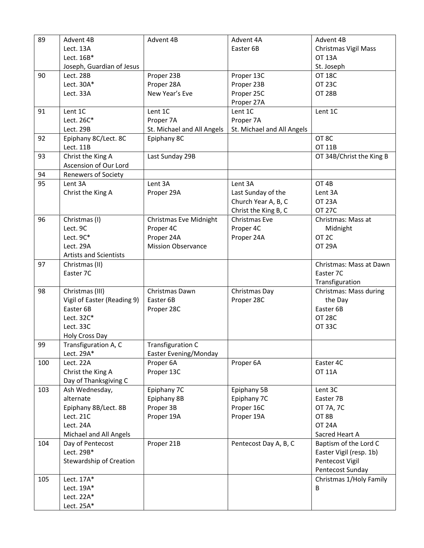| 89  | Advent 4B                     | Advent 4B                  | Advent 4A                  | Advent 4B                |
|-----|-------------------------------|----------------------------|----------------------------|--------------------------|
|     | Lect. 13A                     |                            | Easter 6B                  | Christmas Vigil Mass     |
|     | Lect. 16B*                    |                            |                            | <b>OT 13A</b>            |
|     | Joseph, Guardian of Jesus     |                            |                            | St. Joseph               |
| 90  | Lect. 28B                     | Proper 23B                 | Proper 13C                 | <b>OT 18C</b>            |
|     | Lect. $30A*$                  | Proper 28A                 | Proper 23B                 | <b>OT 23C</b>            |
|     | Lect. 33A                     | New Year's Eve             | Proper 25C                 | <b>OT 28B</b>            |
|     |                               |                            | Proper 27A                 |                          |
| 91  | Lent 1C                       | Lent 1C                    | Lent 1C                    | Lent 1C                  |
|     | Lect. 26C*                    | Proper 7A                  | Proper 7A                  |                          |
|     | Lect. 29B                     | St. Michael and All Angels | St. Michael and All Angels |                          |
| 92  | Epiphany 8C/Lect. 8C          | Epiphany 8C                |                            | OT 8C                    |
|     | Lect. 11B                     |                            |                            | OT 11B                   |
| 93  | Christ the King A             | Last Sunday 29B            |                            | OT 34B/Christ the King B |
|     | Ascension of Our Lord         |                            |                            |                          |
| 94  | <b>Renewers of Society</b>    |                            |                            |                          |
| 95  | Lent 3A                       | Lent 3A                    | Lent 3A                    | OT 4B                    |
|     | Christ the King A             | Proper 29A                 | Last Sunday of the         | Lent 3A                  |
|     |                               |                            |                            | <b>OT 23A</b>            |
|     |                               |                            | Church Year A, B, C        |                          |
|     |                               |                            | Christ the King B, C       | <b>OT 27C</b>            |
| 96  | Christmas (I)                 | Christmas Eve Midnight     | Christmas Eve              | Christmas: Mass at       |
|     | Lect. 9C                      | Proper 4C                  | Proper 4C                  | Midnight                 |
|     | Lect. 9C*                     | Proper 24A                 | Proper 24A                 | OT <sub>2C</sub>         |
|     | Lect. 29A                     | <b>Mission Observance</b>  |                            | <b>OT 29A</b>            |
|     | <b>Artists and Scientists</b> |                            |                            |                          |
| 97  | Christmas (II)                |                            |                            | Christmas: Mass at Dawn  |
|     | Easter 7C                     |                            |                            | Easter 7C                |
|     |                               |                            |                            | Transfiguration          |
| 98  | Christmas (III)               | Christmas Dawn             | Christmas Day              | Christmas: Mass during   |
|     | Vigil of Easter (Reading 9)   | Easter 6B                  | Proper 28C                 | the Day                  |
|     | Easter 6B                     | Proper 28C                 |                            | Easter 6B                |
|     | Lect. 32C*                    |                            |                            | <b>OT 28C</b>            |
|     | Lect. 33C                     |                            |                            | <b>OT 33C</b>            |
|     | Holy Cross Day                |                            |                            |                          |
| 99  | Transfiguration A, C          | Transfiguration C          |                            |                          |
|     | Lect. 29A*                    | Easter Evening/Monday      |                            |                          |
| 100 | Lect. 22A                     | Proper 6A                  | Proper 6A                  | Easter 4C                |
|     | Christ the King A             | Proper 13C                 |                            | <b>OT 11A</b>            |
|     | Day of Thanksgiving C         |                            |                            |                          |
| 103 | Ash Wednesday,                | Epiphany 7C                | Epiphany 5B                | Lent 3C                  |
|     | alternate                     | Epiphany 8B                | Epiphany 7C                | Easter 7B                |
|     | Epiphany 8B/Lect. 8B          | Proper 3B                  | Proper 16C                 | OT 7A, 7C                |
|     | Lect. 21C                     | Proper 19A                 | Proper 19A                 | OT 8B                    |
|     |                               |                            |                            | <b>OT 24A</b>            |
|     | Lect. 24A                     |                            |                            |                          |
|     | Michael and All Angels        |                            |                            | Sacred Heart A           |
| 104 | Day of Pentecost              | Proper 21B                 | Pentecost Day A, B, C      | Baptism of the Lord C    |
|     | Lect. 29B*                    |                            |                            | Easter Vigil (resp. 1b)  |
|     | Stewardship of Creation       |                            |                            | Pentecost Vigil          |
|     |                               |                            |                            | Pentecost Sunday         |
| 105 | Lect. 17A*                    |                            |                            | Christmas 1/Holy Family  |
|     | Lect. 19A*                    |                            |                            | B                        |
|     | Lect. 22A*                    |                            |                            |                          |
|     | Lect. 25A*                    |                            |                            |                          |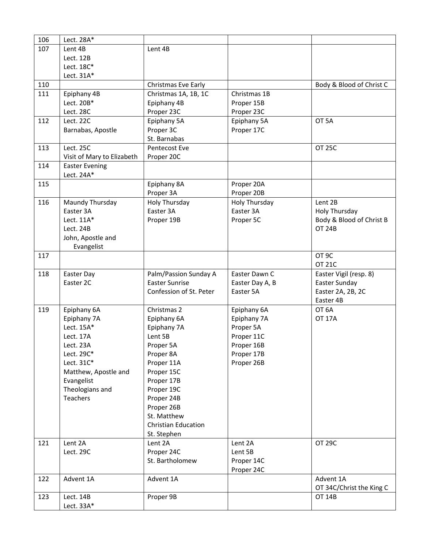| 106 | Lect. 28A*                 |                            |                         |                          |
|-----|----------------------------|----------------------------|-------------------------|--------------------------|
| 107 | Lent 4B                    | Lent 4B                    |                         |                          |
|     | Lect. 12B                  |                            |                         |                          |
|     | Lect. 18C*                 |                            |                         |                          |
|     | Lect. $31A*$               |                            |                         |                          |
| 110 |                            | Christmas Eve Early        |                         | Body & Blood of Christ C |
| 111 | Epiphany 4B                | Christmas 1A, 1B, 1C       | Christmas 1B            |                          |
|     | Lect. 20B*                 | Epiphany 4B                | Proper 15B              |                          |
|     | Lect. 28C                  | Proper 23C                 | Proper 23C              |                          |
| 112 | Lect. 22C                  | Epiphany 5A                | Epiphany 5A             | OT <sub>5A</sub>         |
|     | Barnabas, Apostle          | Proper 3C                  | Proper 17C              |                          |
|     |                            | St. Barnabas               |                         |                          |
| 113 | Lect. 25C                  | Pentecost Eve              |                         | <b>OT 25C</b>            |
|     | Visit of Mary to Elizabeth | Proper 20C                 |                         |                          |
| 114 | <b>Easter Evening</b>      |                            |                         |                          |
|     | Lect. 24A*                 |                            |                         |                          |
| 115 |                            | Epiphany 8A                | Proper 20A              |                          |
|     |                            | Proper 3A                  | Proper 20B              |                          |
| 116 | Maundy Thursday            | <b>Holy Thursday</b>       | Holy Thursday           | Lent 2B                  |
|     | Easter 3A                  | Easter 3A                  | Easter 3A               | Holy Thursday            |
|     | Lect. 11A*                 | Proper 19B                 | Proper 5C               | Body & Blood of Christ B |
|     | Lect. 24B                  |                            |                         | <b>OT 24B</b>            |
|     | John, Apostle and          |                            |                         |                          |
|     | Evangelist                 |                            |                         |                          |
| 117 |                            |                            |                         | OT <sub>9C</sub>         |
|     |                            |                            |                         | <b>OT 21C</b>            |
| 118 | Easter Day                 | Palm/Passion Sunday A      | Easter Dawn C           | Easter Vigil (resp. 8)   |
|     | Easter 2C                  | <b>Easter Sunrise</b>      | Easter Day A, B         | Easter Sunday            |
|     |                            | Confession of St. Peter    | Easter 5A               | Easter 2A, 2B, 2C        |
|     |                            |                            |                         | Easter 4B                |
| 119 | Epiphany 6A                | Christmas 2                | Epiphany 6A             | OT <sub>6A</sub>         |
|     | Epiphany 7A<br>Lect. 15A*  | Epiphany 6A                | Epiphany 7A             | <b>OT 17A</b>            |
|     | Lect. 17A                  | Epiphany 7A<br>Lent 5B     | Proper 5A<br>Proper 11C |                          |
|     | Lect. 23A                  | Proper 5A                  | Proper 16B              |                          |
|     | Lect. 29C*                 | Proper 8A                  | Proper 17B              |                          |
|     | Lect. 31C*                 | Proper 11A                 | Proper 26B              |                          |
|     | Matthew, Apostle and       | Proper 15C                 |                         |                          |
|     | Evangelist                 | Proper 17B                 |                         |                          |
|     | Theologians and            | Proper 19C                 |                         |                          |
|     | <b>Teachers</b>            | Proper 24B                 |                         |                          |
|     |                            | Proper 26B                 |                         |                          |
|     |                            | St. Matthew                |                         |                          |
|     |                            | <b>Christian Education</b> |                         |                          |
|     |                            | St. Stephen                |                         |                          |
| 121 | Lent 2A                    | Lent 2A                    | Lent 2A                 | <b>OT 29C</b>            |
|     | Lect. 29C                  | Proper 24C                 | Lent 5B                 |                          |
|     |                            | St. Bartholomew            | Proper 14C              |                          |
|     |                            |                            | Proper 24C              |                          |
| 122 | Advent 1A                  | Advent 1A                  |                         | Advent 1A                |
|     |                            |                            |                         | OT 34C/Christ the King C |
| 123 | Lect. 14B                  | Proper 9B                  |                         | <b>OT 14B</b>            |
|     | Lect. $33A*$               |                            |                         |                          |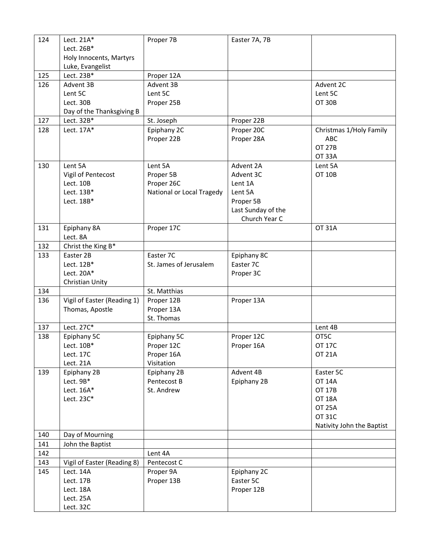| 124 | Lect. 21A*                     | Proper 7B                 | Easter 7A, 7B      |                           |
|-----|--------------------------------|---------------------------|--------------------|---------------------------|
|     | Lect. 26B*                     |                           |                    |                           |
|     | Holy Innocents, Martyrs        |                           |                    |                           |
|     | Luke, Evangelist<br>Lect. 23B* |                           |                    |                           |
| 125 |                                | Proper 12A                |                    |                           |
| 126 | Advent 3B                      | Advent 3B                 |                    | Advent 2C                 |
|     | Lent 5C                        | Lent 5C                   |                    | Lent 5C                   |
|     | Lect. 30B                      | Proper 25B                |                    | <b>OT 30B</b>             |
|     | Day of the Thanksgiving B      |                           |                    |                           |
| 127 | Lect. 32B*                     | St. Joseph                | Proper 22B         |                           |
| 128 | Lect. 17A*                     | Epiphany 2C               | Proper 20C         | Christmas 1/Holy Family   |
|     |                                | Proper 22B                | Proper 28A         | <b>ABC</b>                |
|     |                                |                           |                    | <b>OT 27B</b>             |
|     |                                |                           |                    | <b>OT 33A</b>             |
| 130 | Lent 5A                        | Lent 5A                   | Advent 2A          | Lent 5A                   |
|     | Vigil of Pentecost             | Proper 5B                 | Advent 3C          | <b>OT 10B</b>             |
|     | Lect. 10B                      | Proper 26C                | Lent 1A            |                           |
|     | Lect. 13B*                     | National or Local Tragedy | Lent 5A            |                           |
|     | Lect. 18B*                     |                           | Proper 5B          |                           |
|     |                                |                           | Last Sunday of the |                           |
|     |                                |                           | Church Year C      |                           |
| 131 | Epiphany 8A                    | Proper 17C                |                    | <b>OT 31A</b>             |
|     | Lect. 8A                       |                           |                    |                           |
| 132 | Christ the King B*             |                           |                    |                           |
| 133 | Easter 2B                      | Easter 7C                 | Epiphany 8C        |                           |
|     | Lect. 12B*                     | St. James of Jerusalem    | Easter 7C          |                           |
|     | Lect. 20A*                     |                           | Proper 3C          |                           |
|     | Christian Unity                |                           |                    |                           |
| 134 |                                | St. Matthias              |                    |                           |
| 136 | Vigil of Easter (Reading 1)    | Proper 12B                | Proper 13A         |                           |
|     | Thomas, Apostle                | Proper 13A                |                    |                           |
|     |                                | St. Thomas                |                    |                           |
| 137 | Lect. 27C*                     |                           |                    | Lent 4B                   |
| 138 | Epiphany 5C                    | Epiphany 5C               | Proper 12C         | OT5C                      |
|     | Lect. 10B*                     | Proper 12C                | Proper 16A         | <b>OT 17C</b>             |
|     | Lect. 17C                      | Proper 16A                |                    | <b>OT 21A</b>             |
|     | Lect. 21A                      | Visitation                |                    |                           |
| 139 | Epiphany 2B                    | Epiphany 2B               | Advent 4B          | Easter 5C                 |
|     | Lect. 9B*                      | Pentecost B               | Epiphany 2B        | <b>OT 14A</b>             |
|     | Lect. 16A*                     | St. Andrew                |                    | <b>OT 17B</b>             |
|     | Lect. 23C*                     |                           |                    | <b>OT 18A</b>             |
|     |                                |                           |                    | <b>OT 25A</b>             |
|     |                                |                           |                    | <b>OT 31C</b>             |
|     |                                |                           |                    | Nativity John the Baptist |
| 140 | Day of Mourning                |                           |                    |                           |
| 141 | John the Baptist               |                           |                    |                           |
| 142 |                                | Lent 4A                   |                    |                           |
| 143 | Vigil of Easter (Reading 8)    | Pentecost C               |                    |                           |
| 145 | Lect. 14A                      | Proper 9A                 | Epiphany 2C        |                           |
|     | Lect. 17B                      | Proper 13B                | Easter 5C          |                           |
|     | Lect. 18A                      |                           | Proper 12B         |                           |
|     | Lect. 25A                      |                           |                    |                           |
|     | Lect. 32C                      |                           |                    |                           |